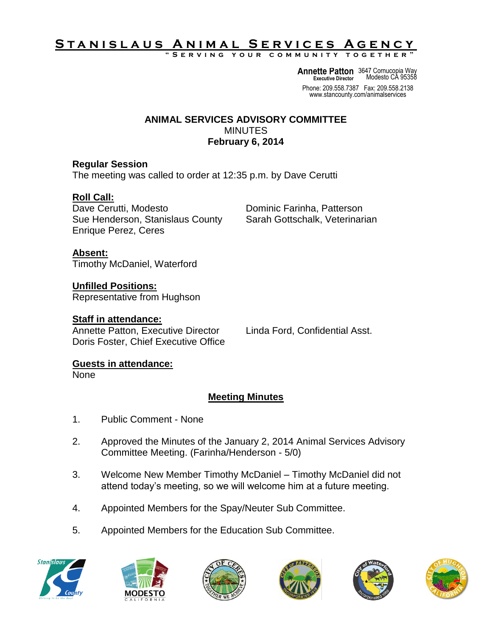# S T A N <u>I S L A U S A N I M A L SERVICES A GENCY</u>

**" S e r v i n g y o u r c o m m u n i t y t o g e t h e r "**

**Annette Patton** 3647 Cornucopia Way **Executive Director** Modesto CA 95358

Phone: 209.558.7387 Fax: 209.558.2138 www.stancounty.com/animalservices

#### **ANIMAL SERVICES ADVISORY COMMITTEE** MINUTES **February 6, 2014**

### **Regular Session**

The meeting was called to order at 12:35 p.m. by Dave Cerutti

# **Roll Call:**

Dave Cerutti, Modesto **Dominic Farinha, Patterson** Sue Henderson, Stanislaus County Sarah Gottschalk, Veterinarian Enrique Perez, Ceres

**Absent:** Timothy McDaniel, Waterford

**Unfilled Positions:** Representative from Hughson

#### **Staff in attendance:**

Annette Patton, Executive Director Linda Ford, Confidential Asst. Doris Foster, Chief Executive Office

# **Guests in attendance:**

None

# **Meeting Minutes**

- 1. Public Comment None
- 2. Approved the Minutes of the January 2, 2014 Animal Services Advisory Committee Meeting. (Farinha/Henderson - 5/0)
- 3. Welcome New Member Timothy McDaniel Timothy McDaniel did not attend today's meeting, so we will welcome him at a future meeting.
- 4. Appointed Members for the Spay/Neuter Sub Committee.
- 5. Appointed Members for the Education Sub Committee.